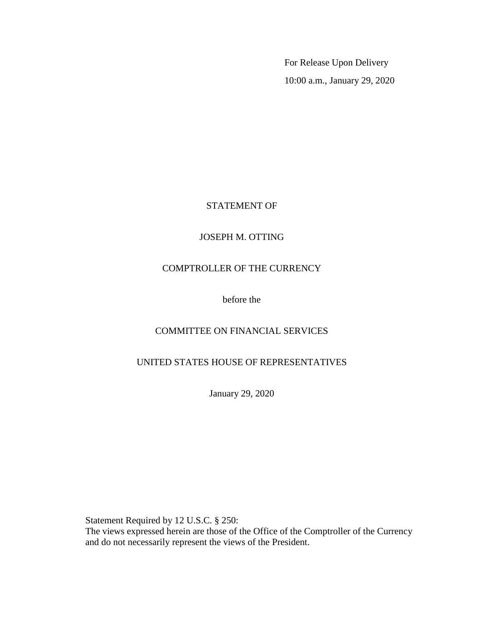For Release Upon Delivery 10:00 a.m., January 29, 2020

# STATEMENT OF

## JOSEPH M. OTTING

## COMPTROLLER OF THE CURRENCY

before the

# COMMITTEE ON FINANCIAL SERVICES

# UNITED STATES HOUSE OF REPRESENTATIVES

January 29, 2020

Statement Required by 12 U.S.C. § 250:

The views expressed herein are those of the Office of the Comptroller of the Currency and do not necessarily represent the views of the President.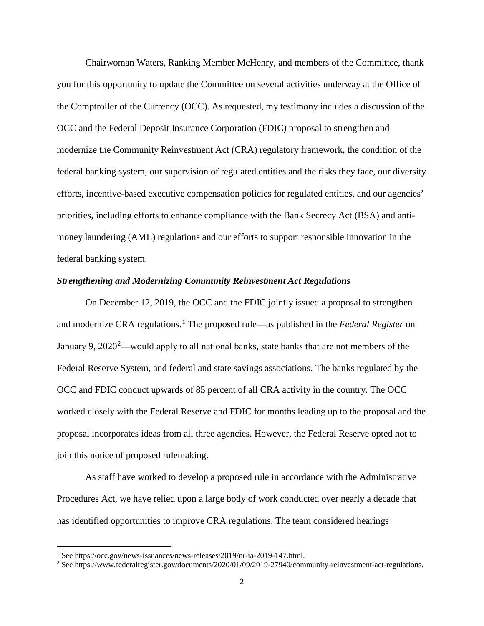Chairwoman Waters, Ranking Member McHenry, and members of the Committee, thank you for this opportunity to update the Committee on several activities underway at the Office of the Comptroller of the Currency (OCC). As requested, my testimony includes a discussion of the OCC and the Federal Deposit Insurance Corporation (FDIC) proposal to strengthen and modernize the Community Reinvestment Act (CRA) regulatory framework, the condition of the federal banking system, our supervision of regulated entities and the risks they face, our diversity efforts, incentive-based executive compensation policies for regulated entities, and our agencies' priorities, including efforts to enhance compliance with the Bank Secrecy Act (BSA) and antimoney laundering (AML) regulations and our efforts to support responsible innovation in the federal banking system.

### *Strengthening and Modernizing Community Reinvestment Act Regulations*

On December 12, 2019, the OCC and the FDIC jointly issued a proposal to strengthen and modernize CRA regulations.<sup>[1](#page-1-0)</sup> The proposed rule—as published in the *Federal Register* on January 9, [2](#page-1-1)020<sup>2</sup>—would apply to all national banks, state banks that are not members of the Federal Reserve System, and federal and state savings associations. The banks regulated by the OCC and FDIC conduct upwards of 85 percent of all CRA activity in the country. The OCC worked closely with the Federal Reserve and FDIC for months leading up to the proposal and the proposal incorporates ideas from all three agencies. However, the Federal Reserve opted not to join this notice of proposed rulemaking.

As staff have worked to develop a proposed rule in accordance with the Administrative Procedures Act, we have relied upon a large body of work conducted over nearly a decade that has identified opportunities to improve CRA regulations. The team considered hearings

<span id="page-1-0"></span><sup>&</sup>lt;sup>1</sup> See https://occ.gov/news-issuances/news-releases/2019/nr-ia-2019-147.html.

<span id="page-1-1"></span><sup>&</sup>lt;sup>2</sup> See https://www.federalregister.gov/documents/2020/01/09/2019-27940/community-reinvestment-act-regulations.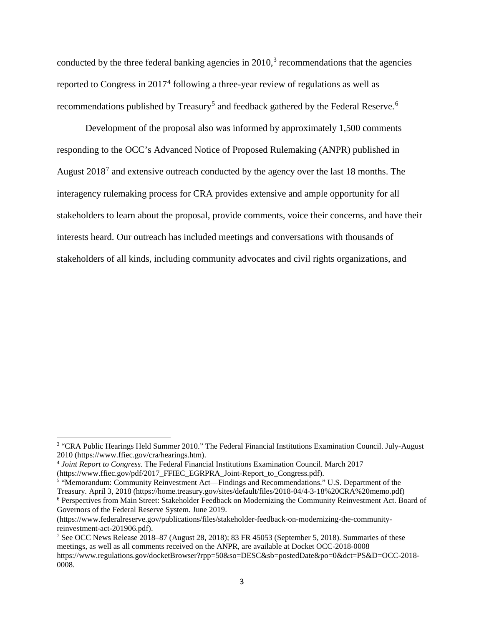conducted by the three federal banking agencies in  $2010<sup>3</sup>$  $2010<sup>3</sup>$  $2010<sup>3</sup>$  recommendations that the agencies reported to Congress in 2017<sup>[4](#page-2-1)</sup> following a three-year review of regulations as well as recommendations published by Treasury<sup>[5](#page-2-2)</sup> and feedback gathered by the Federal Reserve.<sup>[6](#page-2-3)</sup>

Development of the proposal also was informed by approximately 1,500 comments responding to the OCC's Advanced Notice of Proposed Rulemaking (ANPR) published in August 2018<sup>[7](#page-2-4)</sup> and extensive outreach conducted by the agency over the last 18 months. The interagency rulemaking process for CRA provides extensive and ample opportunity for all stakeholders to learn about the proposal, provide comments, voice their concerns, and have their interests heard. Our outreach has included meetings and conversations with thousands of stakeholders of all kinds, including community advocates and civil rights organizations, and

(https://www.ffiec.gov/pdf/2017\_FFIEC\_EGRPRA\_Joint-Report\_to\_Congress.pdf).

 $\overline{a}$ 

<span id="page-2-0"></span><sup>&</sup>lt;sup>3</sup> "CRA Public Hearings Held Summer 2010." The Federal Financial Institutions Examination Council. July-August 2010 (https://www.ffiec.gov/cra/hearings.htm).

<span id="page-2-1"></span><sup>4</sup> *Joint Report to Congress*. The Federal Financial Institutions Examination Council. March 2017

<span id="page-2-2"></span><sup>5</sup> "Memorandum: Community Reinvestment Act—Findings and Recommendations." U.S. Department of the Treasury. April 3, 2018 (https://home.treasury.gov/sites/default/files/2018-04/4-3-18%20CRA%20memo.pdf)

<span id="page-2-3"></span><sup>6</sup> Perspectives from Main Street: Stakeholder Feedback on Modernizing the Community Reinvestment Act. Board of Governors of the Federal Reserve System. June 2019.

<sup>(</sup>https://www.federalreserve.gov/publications/files/stakeholder-feedback-on-modernizing-the-communityreinvestment-act-201906.pdf).

<span id="page-2-4"></span><sup>7</sup> See OCC News Release 2018–87 (August 28, 2018); 83 FR 45053 (September 5, 2018). Summaries of these meetings, as well as all comments received on the ANPR, are available at Docket OCC-2018-0008

https://www.regulations.gov/docketBrowser?rpp=50&so=DESC&sb=postedDate&po=0&dct=PS&D=OCC-2018- 0008.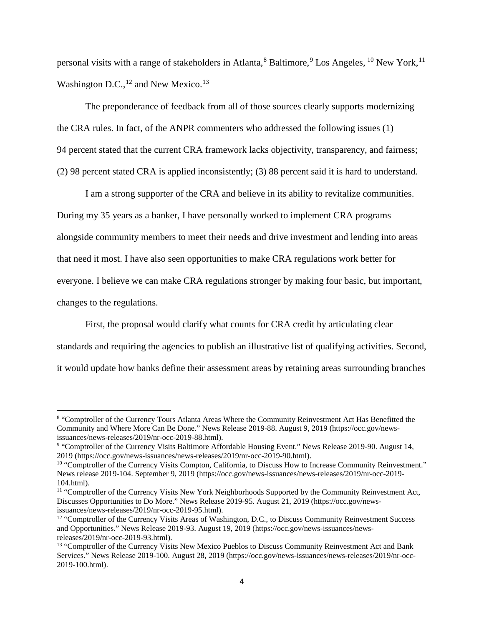personal visits with a range of stakeholders in Atlanta,  $8$  Baltimore,  $9$  Los Angeles,  $10$  New York,  $11$ Washington D.C., $^{12}$  $^{12}$  $^{12}$  and New Mexico.<sup>[13](#page-3-5)</sup>

The preponderance of feedback from all of those sources clearly supports modernizing the CRA rules. In fact, of the ANPR commenters who addressed the following issues (1) 94 percent stated that the current CRA framework lacks objectivity, transparency, and fairness; (2) 98 percent stated CRA is applied inconsistently; (3) 88 percent said it is hard to understand.

I am a strong supporter of the CRA and believe in its ability to revitalize communities. During my 35 years as a banker, I have personally worked to implement CRA programs alongside community members to meet their needs and drive investment and lending into areas that need it most. I have also seen opportunities to make CRA regulations work better for everyone. I believe we can make CRA regulations stronger by making four basic, but important, changes to the regulations.

First, the proposal would clarify what counts for CRA credit by articulating clear standards and requiring the agencies to publish an illustrative list of qualifying activities. Second, it would update how banks define their assessment areas by retaining areas surrounding branches

 $\overline{\phantom{a}}$ 

<span id="page-3-0"></span><sup>&</sup>lt;sup>8</sup> "Comptroller of the Currency Tours Atlanta Areas Where the Community Reinvestment Act Has Benefitted the Community and Where More Can Be Done." News Release 2019-88. August 9, 2019 (https://occ.gov/newsissuances/news-releases/2019/nr-occ-2019-88.html).

<span id="page-3-1"></span><sup>9</sup> "Comptroller of the Currency Visits Baltimore Affordable Housing Event." News Release 2019-90. August 14, 2019 (https://occ.gov/news-issuances/news-releases/2019/nr-occ-2019-90.html).

<span id="page-3-2"></span><sup>&</sup>lt;sup>10</sup> "Comptroller of the Currency Visits Compton, California, to Discuss How to Increase Community Reinvestment." News release 2019-104. September 9, 2019 (https://occ.gov/news-issuances/news-releases/2019/nr-occ-2019- 104.html).

<span id="page-3-3"></span><sup>&</sup>lt;sup>11</sup> "Comptroller of the Currency Visits New York Neighborhoods Supported by the Community Reinvestment Act, Discusses Opportunities to Do More." News Release 2019-95. August 21, 2019 (https://occ.gov/newsissuances/news-releases/2019/nr-occ-2019-95.html).

<span id="page-3-4"></span><sup>&</sup>lt;sup>12</sup> "Comptroller of the Currency Visits Areas of Washington, D.C., to Discuss Community Reinvestment Success and Opportunities." News Release 2019-93. August 19, 2019 (https://occ.gov/news-issuances/newsreleases/2019/nr-occ-2019-93.html).

<span id="page-3-5"></span><sup>&</sup>lt;sup>13</sup> "Comptroller of the Currency Visits New Mexico Pueblos to Discuss Community Reinvestment Act and Bank Services." News Release 2019-100. August 28, 2019 (https://occ.gov/news-issuances/news-releases/2019/nr-occ-2019-100.html).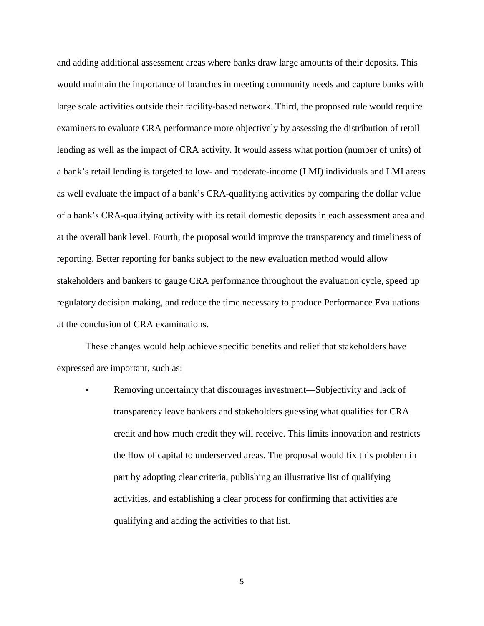and adding additional assessment areas where banks draw large amounts of their deposits. This would maintain the importance of branches in meeting community needs and capture banks with large scale activities outside their facility-based network. Third, the proposed rule would require examiners to evaluate CRA performance more objectively by assessing the distribution of retail lending as well as the impact of CRA activity. It would assess what portion (number of units) of a bank's retail lending is targeted to low- and moderate-income (LMI) individuals and LMI areas as well evaluate the impact of a bank's CRA-qualifying activities by comparing the dollar value of a bank's CRA-qualifying activity with its retail domestic deposits in each assessment area and at the overall bank level. Fourth, the proposal would improve the transparency and timeliness of reporting. Better reporting for banks subject to the new evaluation method would allow stakeholders and bankers to gauge CRA performance throughout the evaluation cycle, speed up regulatory decision making, and reduce the time necessary to produce Performance Evaluations at the conclusion of CRA examinations.

These changes would help achieve specific benefits and relief that stakeholders have expressed are important, such as:

• Removing uncertainty that discourages investment—Subjectivity and lack of transparency leave bankers and stakeholders guessing what qualifies for CRA credit and how much credit they will receive. This limits innovation and restricts the flow of capital to underserved areas. The proposal would fix this problem in part by adopting clear criteria, publishing an illustrative list of qualifying activities, and establishing a clear process for confirming that activities are qualifying and adding the activities to that list.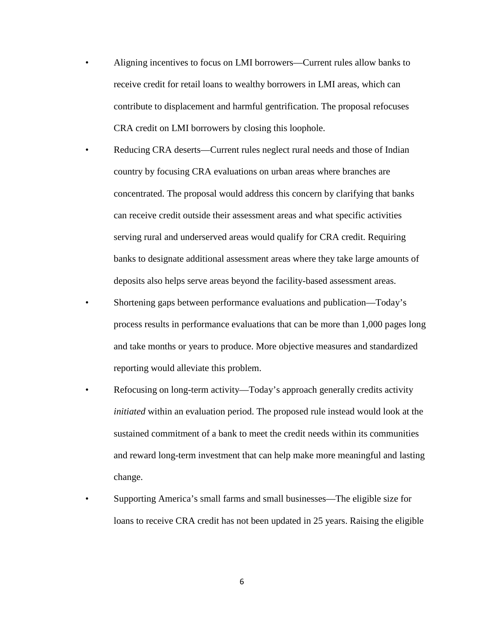- Aligning incentives to focus on LMI borrowers—Current rules allow banks to receive credit for retail loans to wealthy borrowers in LMI areas, which can contribute to displacement and harmful gentrification. The proposal refocuses CRA credit on LMI borrowers by closing this loophole.
- Reducing CRA deserts—Current rules neglect rural needs and those of Indian country by focusing CRA evaluations on urban areas where branches are concentrated. The proposal would address this concern by clarifying that banks can receive credit outside their assessment areas and what specific activities serving rural and underserved areas would qualify for CRA credit. Requiring banks to designate additional assessment areas where they take large amounts of deposits also helps serve areas beyond the facility-based assessment areas.
- Shortening gaps between performance evaluations and publication—Today's process results in performance evaluations that can be more than 1,000 pages long and take months or years to produce. More objective measures and standardized reporting would alleviate this problem.
- Refocusing on long-term activity—Today's approach generally credits activity *initiated* within an evaluation period. The proposed rule instead would look at the sustained commitment of a bank to meet the credit needs within its communities and reward long-term investment that can help make more meaningful and lasting change.
- Supporting America's small farms and small businesses—The eligible size for loans to receive CRA credit has not been updated in 25 years. Raising the eligible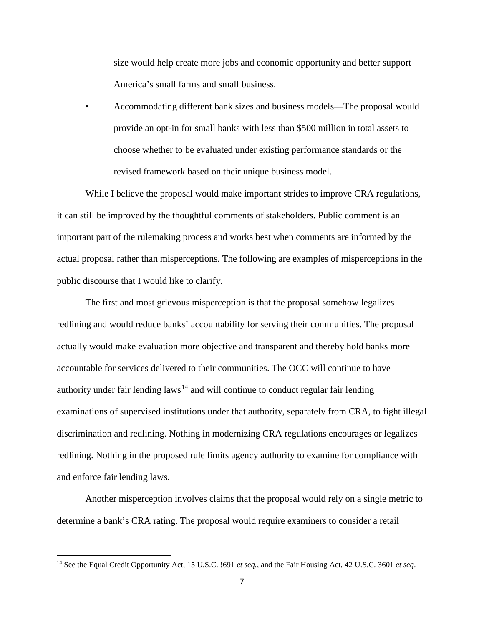size would help create more jobs and economic opportunity and better support America's small farms and small business.

• Accommodating different bank sizes and business models—The proposal would provide an opt-in for small banks with less than \$500 million in total assets to choose whether to be evaluated under existing performance standards or the revised framework based on their unique business model.

While I believe the proposal would make important strides to improve CRA regulations, it can still be improved by the thoughtful comments of stakeholders. Public comment is an important part of the rulemaking process and works best when comments are informed by the actual proposal rather than misperceptions. The following are examples of misperceptions in the public discourse that I would like to clarify.

The first and most grievous misperception is that the proposal somehow legalizes redlining and would reduce banks' accountability for serving their communities. The proposal actually would make evaluation more objective and transparent and thereby hold banks more accountable for services delivered to their communities. The OCC will continue to have authority under fair lending  $laws<sup>14</sup>$  $laws<sup>14</sup>$  $laws<sup>14</sup>$  and will continue to conduct regular fair lending examinations of supervised institutions under that authority, separately from CRA, to fight illegal discrimination and redlining. Nothing in modernizing CRA regulations encourages or legalizes redlining. Nothing in the proposed rule limits agency authority to examine for compliance with and enforce fair lending laws.

Another misperception involves claims that the proposal would rely on a single metric to determine a bank's CRA rating. The proposal would require examiners to consider a retail

<span id="page-6-0"></span><sup>14</sup> See the Equal Credit Opportunity Act, 15 U.S.C. !691 *et seq.,* and the Fair Housing Act, 42 U.S.C. 3601 *et seq*.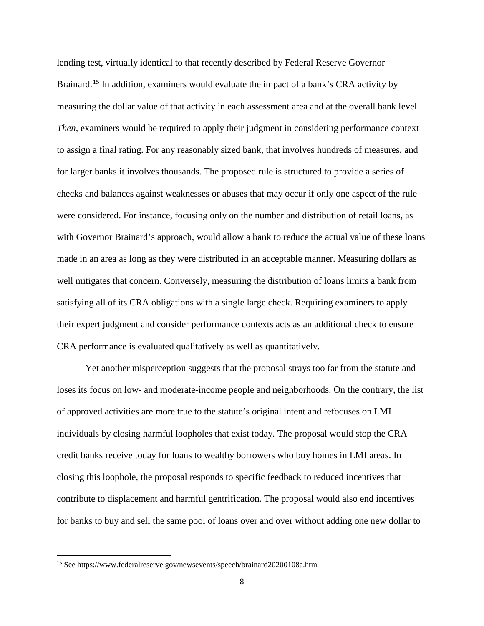lending test, virtually identical to that recently described by Federal Reserve Governor Brainard.<sup>[15](#page-7-0)</sup> In addition, examiners would evaluate the impact of a bank's CRA activity by measuring the dollar value of that activity in each assessment area and at the overall bank level. *Then*, examiners would be required to apply their judgment in considering performance context to assign a final rating. For any reasonably sized bank, that involves hundreds of measures, and for larger banks it involves thousands. The proposed rule is structured to provide a series of checks and balances against weaknesses or abuses that may occur if only one aspect of the rule were considered. For instance, focusing only on the number and distribution of retail loans, as with Governor Brainard's approach, would allow a bank to reduce the actual value of these loans made in an area as long as they were distributed in an acceptable manner. Measuring dollars as well mitigates that concern. Conversely, measuring the distribution of loans limits a bank from satisfying all of its CRA obligations with a single large check. Requiring examiners to apply their expert judgment and consider performance contexts acts as an additional check to ensure CRA performance is evaluated qualitatively as well as quantitatively.

Yet another misperception suggests that the proposal strays too far from the statute and loses its focus on low- and moderate-income people and neighborhoods. On the contrary, the list of approved activities are more true to the statute's original intent and refocuses on LMI individuals by closing harmful loopholes that exist today. The proposal would stop the CRA credit banks receive today for loans to wealthy borrowers who buy homes in LMI areas. In closing this loophole, the proposal responds to specific feedback to reduced incentives that contribute to displacement and harmful gentrification. The proposal would also end incentives for banks to buy and sell the same pool of loans over and over without adding one new dollar to

<span id="page-7-0"></span><sup>15</sup> See https://www.federalreserve.gov/newsevents/speech/brainard20200108a.htm.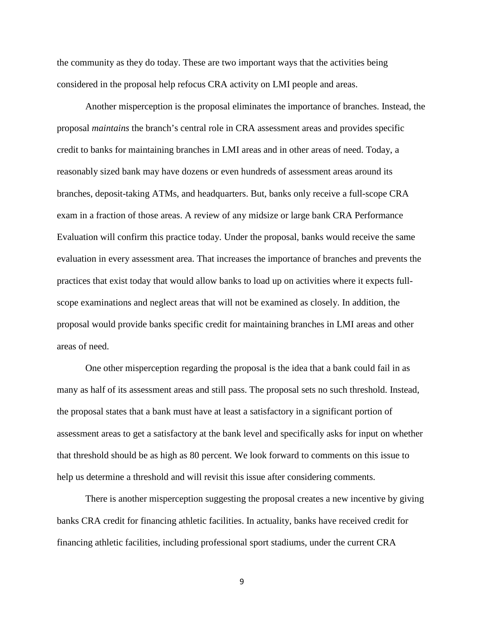the community as they do today. These are two important ways that the activities being considered in the proposal help refocus CRA activity on LMI people and areas.

Another misperception is the proposal eliminates the importance of branches. Instead, the proposal *maintains* the branch's central role in CRA assessment areas and provides specific credit to banks for maintaining branches in LMI areas and in other areas of need. Today, a reasonably sized bank may have dozens or even hundreds of assessment areas around its branches, deposit-taking ATMs, and headquarters. But, banks only receive a full-scope CRA exam in a fraction of those areas. A review of any midsize or large bank CRA Performance Evaluation will confirm this practice today. Under the proposal, banks would receive the same evaluation in every assessment area. That increases the importance of branches and prevents the practices that exist today that would allow banks to load up on activities where it expects fullscope examinations and neglect areas that will not be examined as closely. In addition, the proposal would provide banks specific credit for maintaining branches in LMI areas and other areas of need.

One other misperception regarding the proposal is the idea that a bank could fail in as many as half of its assessment areas and still pass. The proposal sets no such threshold. Instead, the proposal states that a bank must have at least a satisfactory in a significant portion of assessment areas to get a satisfactory at the bank level and specifically asks for input on whether that threshold should be as high as 80 percent. We look forward to comments on this issue to help us determine a threshold and will revisit this issue after considering comments.

There is another misperception suggesting the proposal creates a new incentive by giving banks CRA credit for financing athletic facilities. In actuality, banks have received credit for financing athletic facilities, including professional sport stadiums, under the current CRA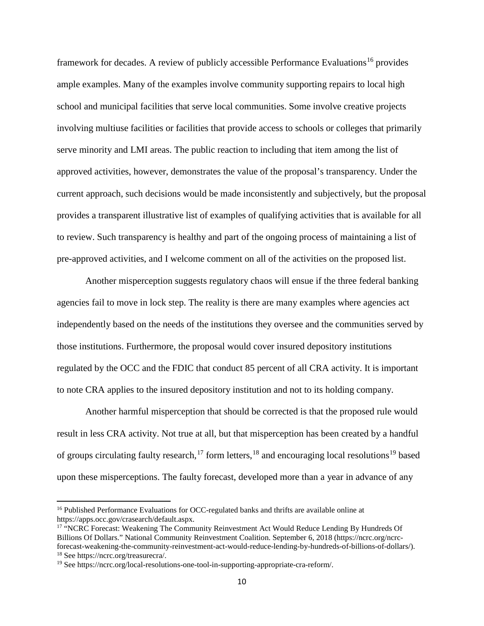framework for decades. A review of publicly accessible Performance Evaluations<sup>[16](#page-9-0)</sup> provides ample examples. Many of the examples involve community supporting repairs to local high school and municipal facilities that serve local communities. Some involve creative projects involving multiuse facilities or facilities that provide access to schools or colleges that primarily serve minority and LMI areas. The public reaction to including that item among the list of approved activities, however, demonstrates the value of the proposal's transparency. Under the current approach, such decisions would be made inconsistently and subjectively, but the proposal provides a transparent illustrative list of examples of qualifying activities that is available for all to review. Such transparency is healthy and part of the ongoing process of maintaining a list of pre-approved activities, and I welcome comment on all of the activities on the proposed list.

Another misperception suggests regulatory chaos will ensue if the three federal banking agencies fail to move in lock step. The reality is there are many examples where agencies act independently based on the needs of the institutions they oversee and the communities served by those institutions. Furthermore, the proposal would cover insured depository institutions regulated by the OCC and the FDIC that conduct 85 percent of all CRA activity. It is important to note CRA applies to the insured depository institution and not to its holding company.

Another harmful misperception that should be corrected is that the proposed rule would result in less CRA activity. Not true at all, but that misperception has been created by a handful of groups circulating faulty research,<sup>[17](#page-9-1)</sup> form letters,<sup>[18](#page-9-2)</sup> and encouraging local resolutions<sup>[19](#page-9-3)</sup> based upon these misperceptions. The faulty forecast, developed more than a year in advance of any

<span id="page-9-0"></span><sup>&</sup>lt;sup>16</sup> Published Performance Evaluations for OCC-regulated banks and thrifts are available online at https://apps.occ.gov/crasearch/default.aspx.

<span id="page-9-1"></span><sup>&</sup>lt;sup>17</sup> "NCRC Forecast: Weakening The Community Reinvestment Act Would Reduce Lending By Hundreds Of Billions Of Dollars." National Community Reinvestment Coalition. September 6, 2018 (https://ncrc.org/ncrcforecast-weakening-the-community-reinvestment-act-would-reduce-lending-by-hundreds-of-billions-of-dollars/). <sup>18</sup> See https://ncrc.org/treasurecra/.

<span id="page-9-3"></span><span id="page-9-2"></span><sup>19</sup> See https://ncrc.org/local-resolutions-one-tool-in-supporting-appropriate-cra-reform/.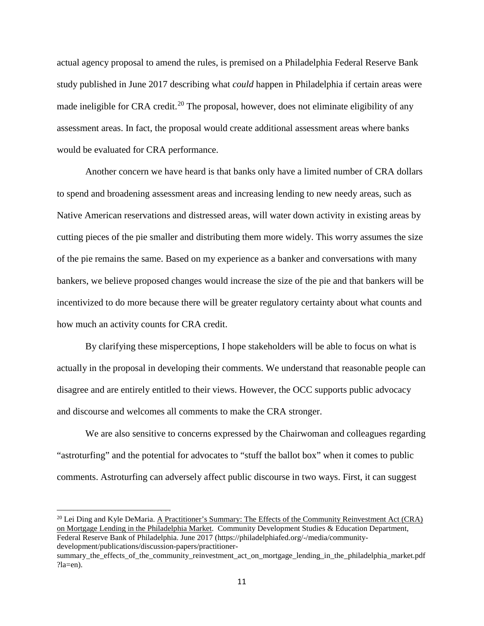actual agency proposal to amend the rules, is premised on a Philadelphia Federal Reserve Bank study published in June 2017 describing what *could* happen in Philadelphia if certain areas were made ineligible for CRA credit.<sup>[20](#page-10-0)</sup> The proposal, however, does not eliminate eligibility of any assessment areas. In fact, the proposal would create additional assessment areas where banks would be evaluated for CRA performance.

Another concern we have heard is that banks only have a limited number of CRA dollars to spend and broadening assessment areas and increasing lending to new needy areas, such as Native American reservations and distressed areas, will water down activity in existing areas by cutting pieces of the pie smaller and distributing them more widely. This worry assumes the size of the pie remains the same. Based on my experience as a banker and conversations with many bankers, we believe proposed changes would increase the size of the pie and that bankers will be incentivized to do more because there will be greater regulatory certainty about what counts and how much an activity counts for CRA credit.

By clarifying these misperceptions, I hope stakeholders will be able to focus on what is actually in the proposal in developing their comments. We understand that reasonable people can disagree and are entirely entitled to their views. However, the OCC supports public advocacy and discourse and welcomes all comments to make the CRA stronger.

We are also sensitive to concerns expressed by the Chairwoman and colleagues regarding "astroturfing" and the potential for advocates to "stuff the ballot box" when it comes to public comments. Astroturfing can adversely affect public discourse in two ways. First, it can suggest

 $\overline{a}$ 

<span id="page-10-0"></span> $^{20}$  Lei Ding and Kyle DeMaria. A Practitioner's Summary: The Effects of the Community Reinvestment Act (CRA) on Mortgage Lending in the Philadelphia Market. Community Development Studies & Education Department, Federal Reserve Bank of Philadelphia. June 2017 (https://philadelphiafed.org/-/media/communitydevelopment/publications/discussion-papers/practitioner-

summary\_the\_effects\_of\_the\_community\_reinvestment\_act\_on\_mortgage\_lending\_in\_the\_philadelphia\_market.pdf ?la=en).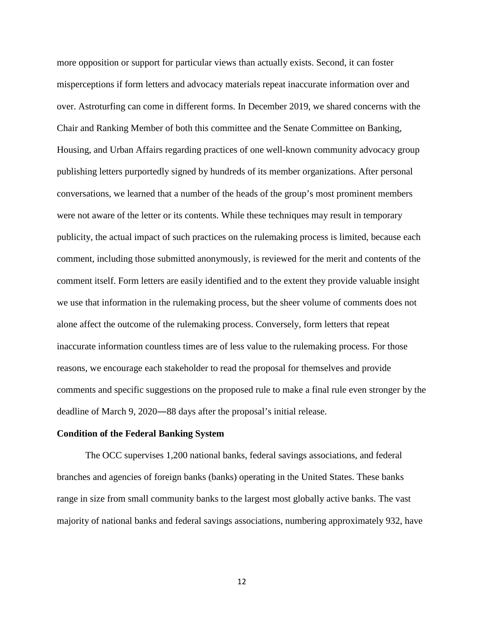more opposition or support for particular views than actually exists. Second, it can foster misperceptions if form letters and advocacy materials repeat inaccurate information over and over. Astroturfing can come in different forms. In December 2019, we shared concerns with the Chair and Ranking Member of both this committee and the Senate Committee on Banking, Housing, and Urban Affairs regarding practices of one well-known community advocacy group publishing letters purportedly signed by hundreds of its member organizations. After personal conversations, we learned that a number of the heads of the group's most prominent members were not aware of the letter or its contents. While these techniques may result in temporary publicity, the actual impact of such practices on the rulemaking process is limited, because each comment, including those submitted anonymously, is reviewed for the merit and contents of the comment itself. Form letters are easily identified and to the extent they provide valuable insight we use that information in the rulemaking process, but the sheer volume of comments does not alone affect the outcome of the rulemaking process. Conversely, form letters that repeat inaccurate information countless times are of less value to the rulemaking process. For those reasons, we encourage each stakeholder to read the proposal for themselves and provide comments and specific suggestions on the proposed rule to make a final rule even stronger by the deadline of March 9, 2020―88 days after the proposal's initial release.

#### **Condition of the Federal Banking System**

The OCC supervises 1,200 national banks, federal savings associations, and federal branches and agencies of foreign banks (banks) operating in the United States. These banks range in size from small community banks to the largest most globally active banks. The vast majority of national banks and federal savings associations, numbering approximately 932, have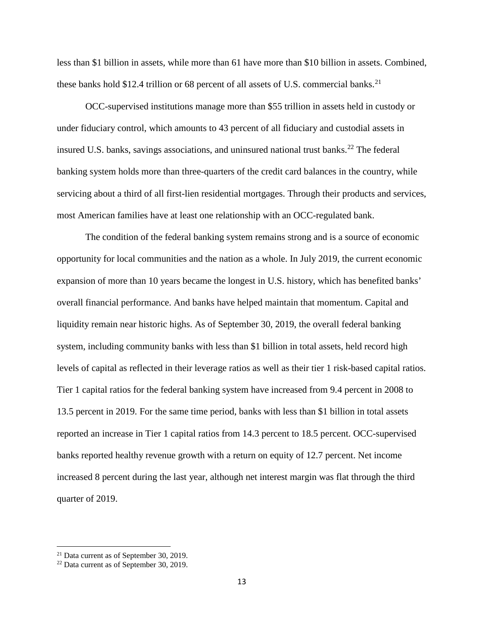less than \$1 billion in assets, while more than 61 have more than \$10 billion in assets. Combined, these banks hold \$12.4 trillion or 68 percent of all assets of U.S. commercial banks.<sup>[21](#page-12-0)</sup>

OCC-supervised institutions manage more than \$55 trillion in assets held in custody or under fiduciary control, which amounts to 43 percent of all fiduciary and custodial assets in insured U.S. banks, savings associations, and uninsured national trust banks.<sup>[22](#page-12-1)</sup> The federal banking system holds more than three-quarters of the credit card balances in the country, while servicing about a third of all first-lien residential mortgages. Through their products and services, most American families have at least one relationship with an OCC-regulated bank.

The condition of the federal banking system remains strong and is a source of economic opportunity for local communities and the nation as a whole. In July 2019, the current economic expansion of more than 10 years became the longest in U.S. history, which has benefited banks' overall financial performance. And banks have helped maintain that momentum. Capital and liquidity remain near historic highs. As of September 30, 2019, the overall federal banking system, including community banks with less than \$1 billion in total assets, held record high levels of capital as reflected in their leverage ratios as well as their tier 1 risk-based capital ratios. Tier 1 capital ratios for the federal banking system have increased from 9.4 percent in 2008 to 13.5 percent in 2019. For the same time period, banks with less than \$1 billion in total assets reported an increase in Tier 1 capital ratios from 14.3 percent to 18.5 percent. OCC-supervised banks reported healthy revenue growth with a return on equity of 12.7 percent. Net income increased 8 percent during the last year, although net interest margin was flat through the third quarter of 2019.

<span id="page-12-0"></span><sup>21</sup> Data current as of September 30, 2019.

<span id="page-12-1"></span><sup>22</sup> Data current as of September 30, 2019.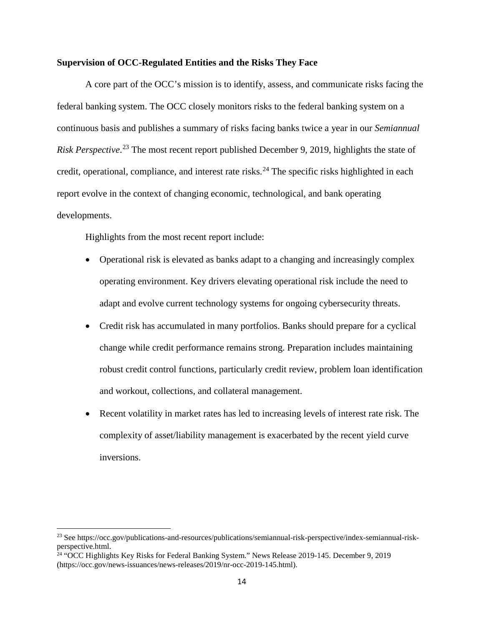### **Supervision of OCC-Regulated Entities and the Risks They Face**

A core part of the OCC's mission is to identify, assess, and communicate risks facing the federal banking system. The OCC closely monitors risks to the federal banking system on a continuous basis and publishes a summary of risks facing banks twice a year in our *Semiannual Risk Perspective*. [23](#page-13-0) The most recent report published December 9, 2019, highlights the state of credit, operational, compliance, and interest rate risks.<sup>[24](#page-13-1)</sup> The specific risks highlighted in each report evolve in the context of changing economic, technological, and bank operating developments.

Highlights from the most recent report include:

- Operational risk is elevated as banks adapt to a changing and increasingly complex operating environment. Key drivers elevating operational risk include the need to adapt and evolve current technology systems for ongoing cybersecurity threats.
- Credit risk has accumulated in many portfolios. Banks should prepare for a cyclical change while credit performance remains strong. Preparation includes maintaining robust credit control functions, particularly credit review, problem loan identification and workout, collections, and collateral management.
- Recent volatility in market rates has led to increasing levels of interest rate risk. The complexity of asset/liability management is exacerbated by the recent yield curve inversions.

<span id="page-13-0"></span><sup>23</sup> See https://occ.gov/publications-and-resources/publications/semiannual-risk-perspective/index-semiannual-riskperspective.html.

<span id="page-13-1"></span><sup>24</sup> "OCC Highlights Key Risks for Federal Banking System." News Release 2019-145. December 9, 2019 (https://occ.gov/news-issuances/news-releases/2019/nr-occ-2019-145.html).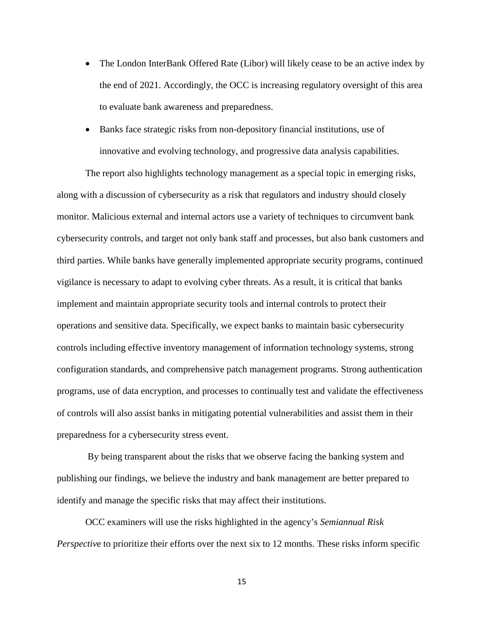- The London InterBank Offered Rate (Libor) will likely cease to be an active index by the end of 2021. Accordingly, the OCC is increasing regulatory oversight of this area to evaluate bank awareness and preparedness.
- Banks face strategic risks from non-depository financial institutions, use of innovative and evolving technology, and progressive data analysis capabilities.

The report also highlights technology management as a special topic in emerging risks, along with a discussion of cybersecurity as a risk that regulators and industry should closely monitor. Malicious external and internal actors use a variety of techniques to circumvent bank cybersecurity controls, and target not only bank staff and processes, but also bank customers and third parties. While banks have generally implemented appropriate security programs, continued vigilance is necessary to adapt to evolving cyber threats. As a result, it is critical that banks implement and maintain appropriate security tools and internal controls to protect their operations and sensitive data. Specifically, we expect banks to maintain basic cybersecurity controls including effective inventory management of information technology systems, strong configuration standards, and comprehensive patch management programs. Strong authentication programs, use of data encryption, and processes to continually test and validate the effectiveness of controls will also assist banks in mitigating potential vulnerabilities and assist them in their preparedness for a cybersecurity stress event.

By being transparent about the risks that we observe facing the banking system and publishing our findings, we believe the industry and bank management are better prepared to identify and manage the specific risks that may affect their institutions.

OCC examiners will use the risks highlighted in the agency's *Semiannual Risk Perspective* to prioritize their efforts over the next six to 12 months. These risks inform specific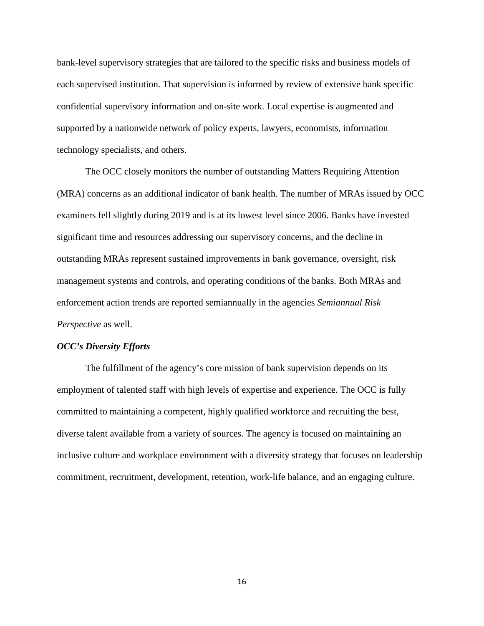bank-level supervisory strategies that are tailored to the specific risks and business models of each supervised institution. That supervision is informed by review of extensive bank specific confidential supervisory information and on-site work. Local expertise is augmented and supported by a nationwide network of policy experts, lawyers, economists, information technology specialists, and others.

The OCC closely monitors the number of outstanding Matters Requiring Attention (MRA) concerns as an additional indicator of bank health. The number of MRAs issued by OCC examiners fell slightly during 2019 and is at its lowest level since 2006. Banks have invested significant time and resources addressing our supervisory concerns, and the decline in outstanding MRAs represent sustained improvements in bank governance, oversight, risk management systems and controls, and operating conditions of the banks. Both MRAs and enforcement action trends are reported semiannually in the agencies *Semiannual Risk Perspective* as well.

#### *OCC's Diversity Efforts*

The fulfillment of the agency's core mission of bank supervision depends on its employment of talented staff with high levels of expertise and experience. The OCC is fully committed to maintaining a competent, highly qualified workforce and recruiting the best, diverse talent available from a variety of sources. The agency is focused on maintaining an inclusive culture and workplace environment with a diversity strategy that focuses on leadership commitment, recruitment, development, retention, work-life balance, and an engaging culture.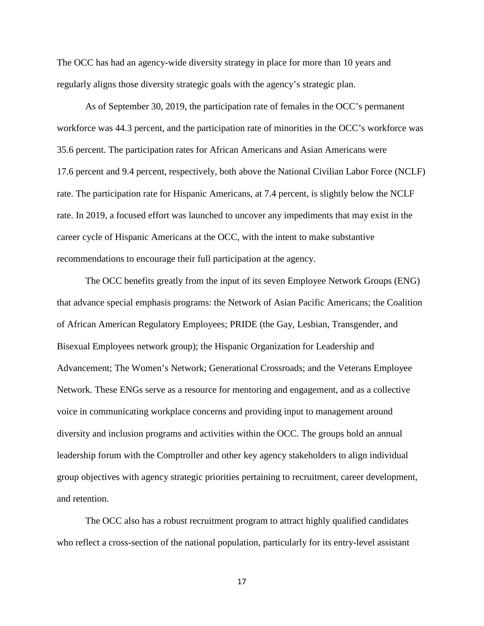The OCC has had an agency-wide diversity strategy in place for more than 10 years and regularly aligns those diversity strategic goals with the agency's strategic plan.

As of September 30, 2019, the participation rate of females in the OCC's permanent workforce was 44.3 percent, and the participation rate of minorities in the OCC's workforce was 35.6 percent. The participation rates for African Americans and Asian Americans were 17.6 percent and 9.4 percent, respectively, both above the National Civilian Labor Force (NCLF) rate. The participation rate for Hispanic Americans, at 7.4 percent, is slightly below the NCLF rate. In 2019, a focused effort was launched to uncover any impediments that may exist in the career cycle of Hispanic Americans at the OCC, with the intent to make substantive recommendations to encourage their full participation at the agency.

The OCC benefits greatly from the input of its seven Employee Network Groups (ENG) that advance special emphasis programs: the Network of Asian Pacific Americans; the Coalition of African American Regulatory Employees; PRIDE (the Gay, Lesbian, Transgender, and Bisexual Employees network group); the Hispanic Organization for Leadership and Advancement; The Women's Network; Generational Crossroads; and the Veterans Employee Network. These ENGs serve as a resource for mentoring and engagement, and as a collective voice in communicating workplace concerns and providing input to management around diversity and inclusion programs and activities within the OCC. The groups hold an annual leadership forum with the Comptroller and other key agency stakeholders to align individual group objectives with agency strategic priorities pertaining to recruitment, career development, and retention.

The OCC also has a robust recruitment program to attract highly qualified candidates who reflect a cross-section of the national population, particularly for its entry-level assistant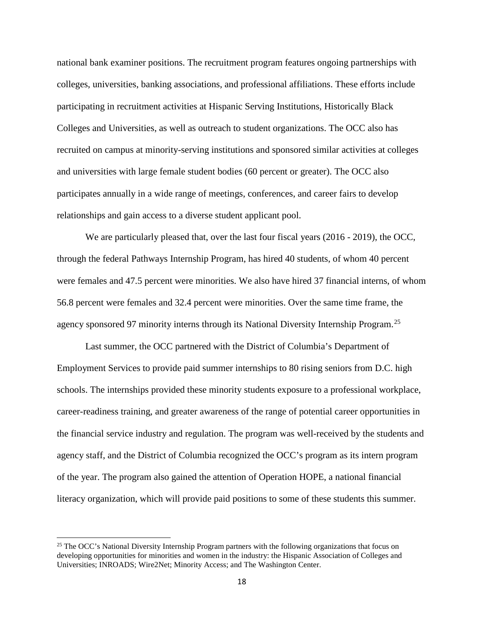national bank examiner positions. The recruitment program features ongoing partnerships with colleges, universities, banking associations, and professional affiliations. These efforts include participating in recruitment activities at Hispanic Serving Institutions, Historically Black Colleges and Universities, as well as outreach to student organizations. The OCC also has recruited on campus at minority-serving institutions and sponsored similar activities at colleges and universities with large female student bodies (60 percent or greater). The OCC also participates annually in a wide range of meetings, conferences, and career fairs to develop relationships and gain access to a diverse student applicant pool.

We are particularly pleased that, over the last four fiscal years (2016 - 2019), the OCC, through the federal Pathways Internship Program, has hired 40 students, of whom 40 percent were females and 47.5 percent were minorities. We also have hired 37 financial interns, of whom 56.8 percent were females and 32.4 percent were minorities. Over the same time frame, the agency sponsored 97 minority interns through its National Diversity Internship Program.<sup>[25](#page-17-0)</sup>

Last summer, the OCC partnered with the District of Columbia's Department of Employment Services to provide paid summer internships to 80 rising seniors from D.C. high schools. The internships provided these minority students exposure to a professional workplace, career-readiness training, and greater awareness of the range of potential career opportunities in the financial service industry and regulation. The program was well-received by the students and agency staff, and the District of Columbia recognized the OCC's program as its intern program of the year. The program also gained the attention of Operation HOPE, a national financial literacy organization, which will provide paid positions to some of these students this summer.

<span id="page-17-0"></span><sup>&</sup>lt;sup>25</sup> The OCC's National Diversity Internship Program partners with the following organizations that focus on developing opportunities for minorities and women in the industry: the Hispanic Association of Colleges and Universities; INROADS; Wire2Net; Minority Access; and The Washington Center.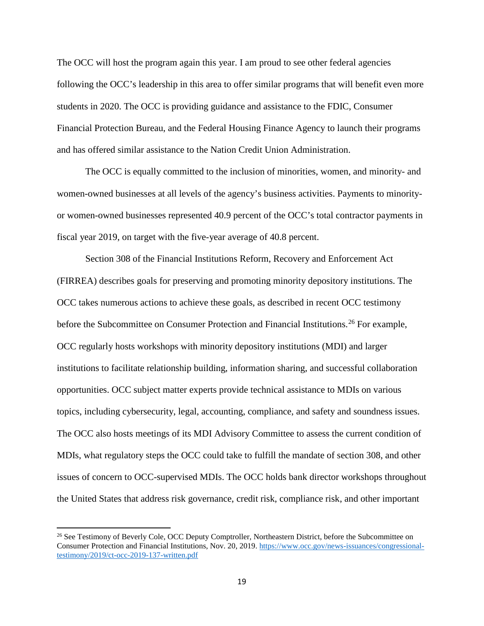The OCC will host the program again this year. I am proud to see other federal agencies following the OCC's leadership in this area to offer similar programs that will benefit even more students in 2020. The OCC is providing guidance and assistance to the FDIC, Consumer Financial Protection Bureau, and the Federal Housing Finance Agency to launch their programs and has offered similar assistance to the Nation Credit Union Administration.

The OCC is equally committed to the inclusion of minorities, women, and minority- and women-owned businesses at all levels of the agency's business activities. Payments to minorityor women-owned businesses represented 40.9 percent of the OCC's total contractor payments in fiscal year 2019, on target with the five-year average of 40.8 percent.

Section 308 of the Financial Institutions Reform, Recovery and Enforcement Act (FIRREA) describes goals for preserving and promoting minority depository institutions. The OCC takes numerous actions to achieve these goals, as described in recent OCC testimony before the Subcommittee on Consumer Protection and Financial Institutions.<sup>[26](#page-18-0)</sup> For example, OCC regularly hosts workshops with minority depository institutions (MDI) and larger institutions to facilitate relationship building, information sharing, and successful collaboration opportunities. OCC subject matter experts provide technical assistance to MDIs on various topics, including cybersecurity, legal, accounting, compliance, and safety and soundness issues. The OCC also hosts meetings of its MDI Advisory Committee to assess the current condition of MDIs, what regulatory steps the OCC could take to fulfill the mandate of section 308, and other issues of concern to OCC-supervised MDIs. The OCC holds bank director workshops throughout the United States that address risk governance, credit risk, compliance risk, and other important

<span id="page-18-0"></span><sup>&</sup>lt;sup>26</sup> See Testimony of Beverly Cole, OCC Deputy Comptroller, Northeastern District, before the Subcommittee on Consumer Protection and Financial Institutions, Nov. 20, 2019. [https://www.occ.gov/news-issuances/congressional](https://www.occ.gov/news-issuances/congressional-testimony/2019/ct-occ-2019-137-written.pdf)[testimony/2019/ct-occ-2019-137-written.pdf](https://www.occ.gov/news-issuances/congressional-testimony/2019/ct-occ-2019-137-written.pdf)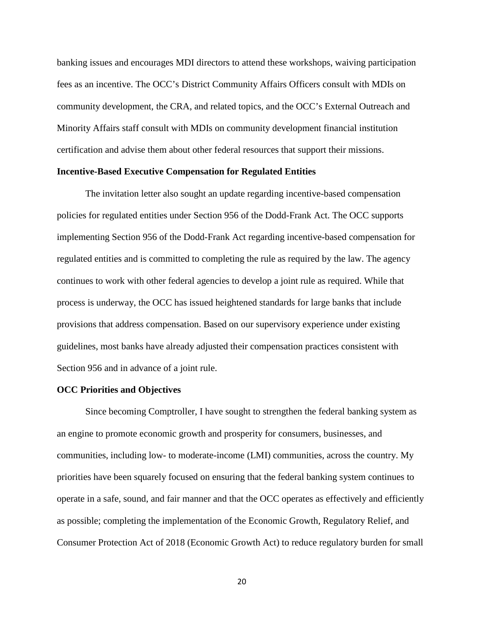banking issues and encourages MDI directors to attend these workshops, waiving participation fees as an incentive. The OCC's District Community Affairs Officers consult with MDIs on community development, the CRA, and related topics, and the OCC's External Outreach and Minority Affairs staff consult with MDIs on community development financial institution certification and advise them about other federal resources that support their missions.

### **Incentive-Based Executive Compensation for Regulated Entities**

The invitation letter also sought an update regarding incentive-based compensation policies for regulated entities under Section 956 of the Dodd-Frank Act. The OCC supports implementing Section 956 of the Dodd-Frank Act regarding incentive-based compensation for regulated entities and is committed to completing the rule as required by the law. The agency continues to work with other federal agencies to develop a joint rule as required. While that process is underway, the OCC has issued heightened standards for large banks that include provisions that address compensation. Based on our supervisory experience under existing guidelines, most banks have already adjusted their compensation practices consistent with Section 956 and in advance of a joint rule.

#### **OCC Priorities and Objectives**

Since becoming Comptroller, I have sought to strengthen the federal banking system as an engine to promote economic growth and prosperity for consumers, businesses, and communities, including low- to moderate-income (LMI) communities, across the country. My priorities have been squarely focused on ensuring that the federal banking system continues to operate in a safe, sound, and fair manner and that the OCC operates as effectively and efficiently as possible; completing the implementation of the Economic Growth, Regulatory Relief, and Consumer Protection Act of 2018 (Economic Growth Act) to reduce regulatory burden for small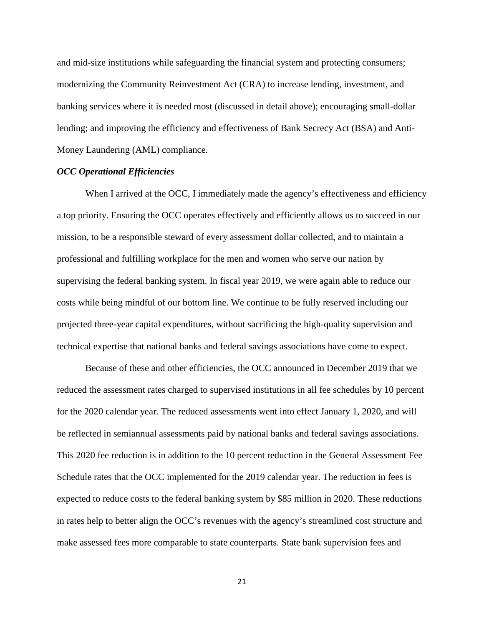and mid-size institutions while safeguarding the financial system and protecting consumers; modernizing the Community Reinvestment Act (CRA) to increase lending, investment, and banking services where it is needed most (discussed in detail above); encouraging small-dollar lending; and improving the efficiency and effectiveness of Bank Secrecy Act (BSA) and Anti-Money Laundering (AML) compliance.

### *OCC Operational Efficiencies*

When I arrived at the OCC, I immediately made the agency's effectiveness and efficiency a top priority. Ensuring the OCC operates effectively and efficiently allows us to succeed in our mission, to be a responsible steward of every assessment dollar collected, and to maintain a professional and fulfilling workplace for the men and women who serve our nation by supervising the federal banking system. In fiscal year 2019, we were again able to reduce our costs while being mindful of our bottom line. We continue to be fully reserved including our projected three-year capital expenditures, without sacrificing the high-quality supervision and technical expertise that national banks and federal savings associations have come to expect.

Because of these and other efficiencies, the OCC announced in December 2019 that we reduced the assessment rates charged to supervised institutions in all fee schedules by 10 percent for the 2020 calendar year. The reduced assessments went into effect January 1, 2020, and will be reflected in semiannual assessments paid by national banks and federal savings associations. This 2020 fee reduction is in addition to the 10 percent reduction in the General Assessment Fee Schedule rates that the OCC implemented for the 2019 calendar year. The reduction in fees is expected to reduce costs to the federal banking system by \$85 million in 2020. These reductions in rates help to better align the OCC's revenues with the agency's streamlined cost structure and make assessed fees more comparable to state counterparts. State bank supervision fees and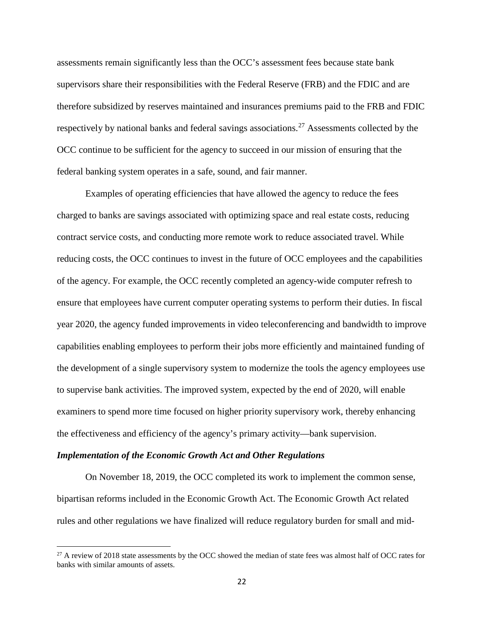assessments remain significantly less than the OCC's assessment fees because state bank supervisors share their responsibilities with the Federal Reserve (FRB) and the FDIC and are therefore subsidized by reserves maintained and insurances premiums paid to the FRB and FDIC respectively by national banks and federal savings associations.<sup>[27](#page-21-0)</sup> Assessments collected by the OCC continue to be sufficient for the agency to succeed in our mission of ensuring that the federal banking system operates in a safe, sound, and fair manner.

Examples of operating efficiencies that have allowed the agency to reduce the fees charged to banks are savings associated with optimizing space and real estate costs, reducing contract service costs, and conducting more remote work to reduce associated travel. While reducing costs, the OCC continues to invest in the future of OCC employees and the capabilities of the agency. For example, the OCC recently completed an agency-wide computer refresh to ensure that employees have current computer operating systems to perform their duties. In fiscal year 2020, the agency funded improvements in video teleconferencing and bandwidth to improve capabilities enabling employees to perform their jobs more efficiently and maintained funding of the development of a single supervisory system to modernize the tools the agency employees use to supervise bank activities. The improved system, expected by the end of 2020, will enable examiners to spend more time focused on higher priority supervisory work, thereby enhancing the effectiveness and efficiency of the agency's primary activity—bank supervision.

#### *Implementation of the Economic Growth Act and Other Regulations*

l

On November 18, 2019, the OCC completed its work to implement the common sense, bipartisan reforms included in the Economic Growth Act. The Economic Growth Act related rules and other regulations we have finalized will reduce regulatory burden for small and mid-

<span id="page-21-0"></span><sup>&</sup>lt;sup>27</sup> A review of 2018 state assessments by the OCC showed the median of state fees was almost half of OCC rates for banks with similar amounts of assets.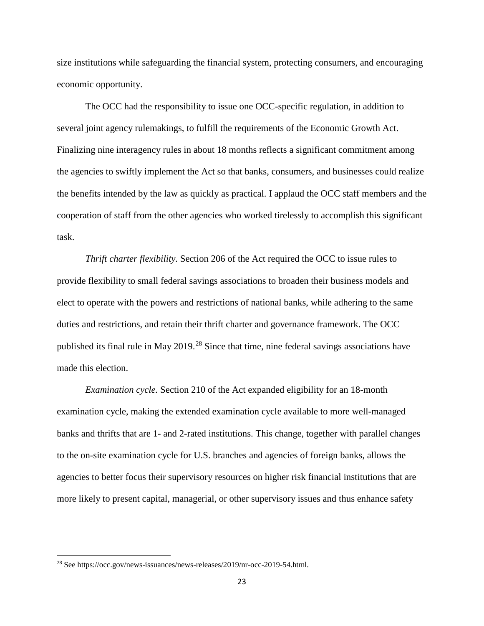size institutions while safeguarding the financial system, protecting consumers, and encouraging economic opportunity.

The OCC had the responsibility to issue one OCC-specific regulation, in addition to several joint agency rulemakings, to fulfill the requirements of the Economic Growth Act. Finalizing nine interagency rules in about 18 months reflects a significant commitment among the agencies to swiftly implement the Act so that banks, consumers, and businesses could realize the benefits intended by the law as quickly as practical. I applaud the OCC staff members and the cooperation of staff from the other agencies who worked tirelessly to accomplish this significant task.

*Thrift charter flexibility.* Section 206 of the Act required the OCC to issue rules to provide flexibility to small federal savings associations to broaden their business models and elect to operate with the powers and restrictions of national banks, while adhering to the same duties and restrictions, and retain their thrift charter and governance framework. The OCC published its final rule in May  $2019$ <sup>[28](#page-22-0)</sup> Since that time, nine federal savings associations have made this election.

*Examination cycle.* Section 210 of the Act expanded eligibility for an 18-month examination cycle, making the extended examination cycle available to more well-managed banks and thrifts that are 1- and 2-rated institutions. This change, together with parallel changes to the on-site examination cycle for U.S. branches and agencies of foreign banks, allows the agencies to better focus their supervisory resources on higher risk financial institutions that are more likely to present capital, managerial, or other supervisory issues and thus enhance safety

<span id="page-22-0"></span><sup>28</sup> See https://occ.gov/news-issuances/news-releases/2019/nr-occ-2019-54.html.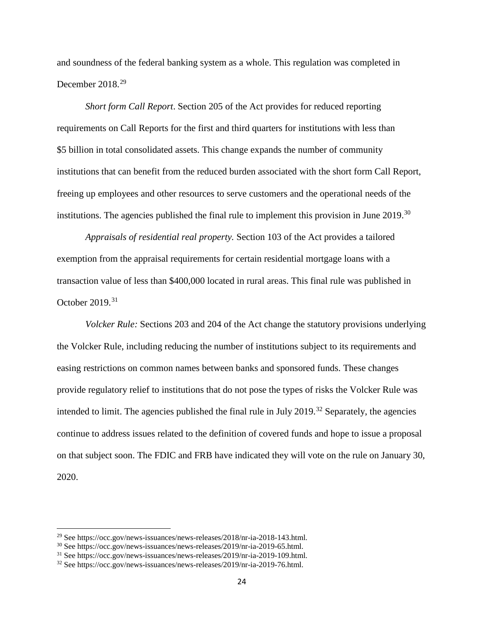and soundness of the federal banking system as a whole. This regulation was completed in December 2018.<sup>[29](#page-23-0)</sup>

*Short form Call Report*. Section 205 of the Act provides for reduced reporting requirements on Call Reports for the first and third quarters for institutions with less than \$5 billion in total consolidated assets. This change expands the number of community institutions that can benefit from the reduced burden associated with the short form Call Report, freeing up employees and other resources to serve customers and the operational needs of the institutions. The agencies published the final rule to implement this provision in June  $2019$ <sup>[30](#page-23-1)</sup>

*Appraisals of residential real property.* Section 103 of the Act provides a tailored exemption from the appraisal requirements for certain residential mortgage loans with a transaction value of less than \$400,000 located in rural areas. This final rule was published in October 2019. [31](#page-23-2)

*Volcker Rule:* Sections 203 and 204 of the Act change the statutory provisions underlying the Volcker Rule, including reducing the number of institutions subject to its requirements and easing restrictions on common names between banks and sponsored funds. These changes provide regulatory relief to institutions that do not pose the types of risks the Volcker Rule was intended to limit. The agencies published the final rule in July 2019.<sup>[32](#page-23-3)</sup> Separately, the agencies continue to address issues related to the definition of covered funds and hope to issue a proposal on that subject soon. The FDIC and FRB have indicated they will vote on the rule on January 30, 2020.

<span id="page-23-0"></span><sup>29</sup> See https://occ.gov/news-issuances/news-releases/2018/nr-ia-2018-143.html.

<span id="page-23-1"></span><sup>30</sup> See https://occ.gov/news-issuances/news-releases/2019/nr-ia-2019-65.html.

<span id="page-23-2"></span><sup>31</sup> See https://occ.gov/news-issuances/news-releases/2019/nr-ia-2019-109.html.

<span id="page-23-3"></span><sup>32</sup> See https://occ.gov/news-issuances/news-releases/2019/nr-ia-2019-76.html.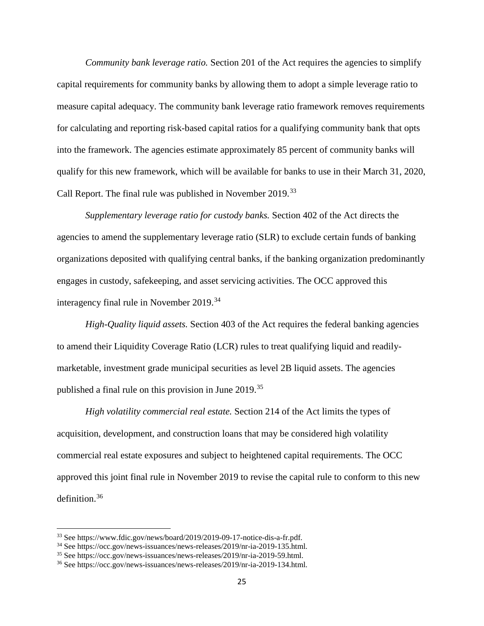*Community bank leverage ratio.* Section 201 of the Act requires the agencies to simplify capital requirements for community banks by allowing them to adopt a simple leverage ratio to measure capital adequacy. The community bank leverage ratio framework removes requirements for calculating and reporting risk-based capital ratios for a qualifying community bank that opts into the framework. The agencies estimate approximately 85 percent of community banks will qualify for this new framework, which will be available for banks to use in their March 31, 2020, Call Report. The final rule was published in November 2019.<sup>[33](#page-24-0)</sup>

*Supplementary leverage ratio for custody banks.* Section 402 of the Act directs the agencies to amend the supplementary leverage ratio (SLR) to exclude certain funds of banking organizations deposited with qualifying central banks, if the banking organization predominantly engages in custody, safekeeping, and asset servicing activities. The OCC approved this interagency final rule in November 2019.<sup>[34](#page-24-1)</sup>

*High-Quality liquid assets.* Section 403 of the Act requires the federal banking agencies to amend their Liquidity Coverage Ratio (LCR) rules to treat qualifying liquid and readilymarketable, investment grade municipal securities as level 2B liquid assets. The agencies published a final rule on this provision in June 2019.[35](#page-24-2)

*High volatility commercial real estate.* Section 214 of the Act limits the types of acquisition, development, and construction loans that may be considered high volatility commercial real estate exposures and subject to heightened capital requirements. The OCC approved this joint final rule in November 2019 to revise the capital rule to conform to this new definition.[36](#page-24-3)

<span id="page-24-0"></span><sup>33</sup> See https://www.fdic.gov/news/board/2019/2019-09-17-notice-dis-a-fr.pdf.

<span id="page-24-1"></span><sup>34</sup> See https://occ.gov/news-issuances/news-releases/2019/nr-ia-2019-135.html.

<span id="page-24-2"></span><sup>35</sup> See https://occ.gov/news-issuances/news-releases/2019/nr-ia-2019-59.html.

<span id="page-24-3"></span><sup>36</sup> See https://occ.gov/news-issuances/news-releases/2019/nr-ia-2019-134.html.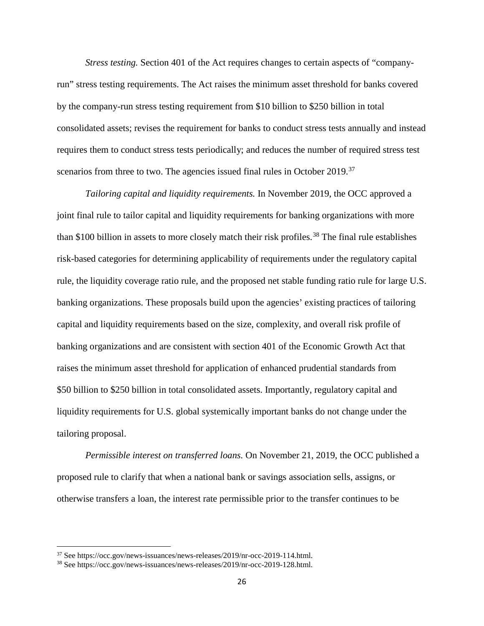*Stress testing.* Section 401 of the Act requires changes to certain aspects of "companyrun" stress testing requirements. The Act raises the minimum asset threshold for banks covered by the company-run stress testing requirement from \$10 billion to \$250 billion in total consolidated assets; revises the requirement for banks to conduct stress tests annually and instead requires them to conduct stress tests periodically; and reduces the number of required stress test scenarios from three to two. The agencies issued final rules in October 2019.<sup>[37](#page-25-0)</sup>

*Tailoring capital and liquidity requirements.* In November 2019, the OCC approved a joint final rule to tailor capital and liquidity requirements for banking organizations with more than \$100 billion in assets to more closely match their risk profiles.<sup>[38](#page-25-1)</sup> The final rule establishes risk-based categories for determining applicability of requirements under the regulatory capital rule, the liquidity coverage ratio rule, and the proposed net stable funding ratio rule for large U.S. banking organizations. These proposals build upon the agencies' existing practices of tailoring capital and liquidity requirements based on the size, complexity, and overall risk profile of banking organizations and are consistent with section 401 of the Economic Growth Act that raises the minimum asset threshold for application of enhanced prudential standards from \$50 billion to \$250 billion in total consolidated assets. Importantly, regulatory capital and liquidity requirements for U.S. global systemically important banks do not change under the tailoring proposal.

*Permissible interest on transferred loans.* On November 21, 2019, the OCC published a proposed rule to clarify that when a national bank or savings association sells, assigns, or otherwise transfers a loan, the interest rate permissible prior to the transfer continues to be

<span id="page-25-0"></span><sup>37</sup> See https://occ.gov/news-issuances/news-releases/2019/nr-occ-2019-114.html.

<span id="page-25-1"></span><sup>38</sup> See https://occ.gov/news-issuances/news-releases/2019/nr-occ-2019-128.html.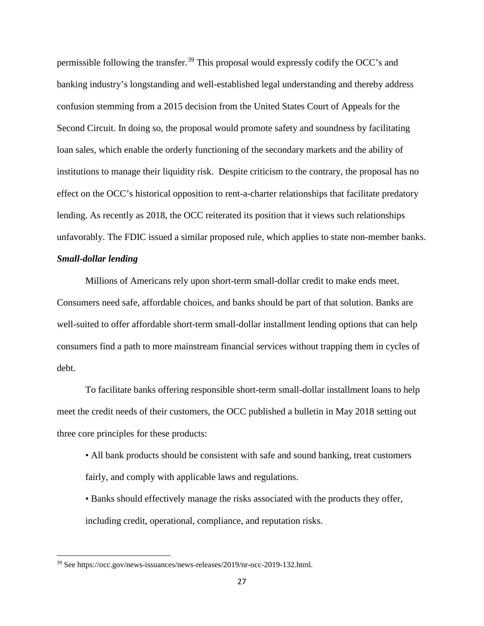permissible following the transfer.[39](#page-26-0) This proposal would expressly codify the OCC's and banking industry's longstanding and well-established legal understanding and thereby address confusion stemming from a 2015 decision from the United States Court of Appeals for the Second Circuit. In doing so, the proposal would promote safety and soundness by facilitating loan sales, which enable the orderly functioning of the secondary markets and the ability of institutions to manage their liquidity risk. Despite criticism to the contrary, the proposal has no effect on the OCC's historical opposition to rent-a-charter relationships that facilitate predatory lending. As recently as 2018, the OCC reiterated its position that it views such relationships unfavorably. The FDIC issued a similar proposed rule, which applies to state non-member banks.

## *Small-dollar lending*

l

Millions of Americans rely upon short-term small-dollar credit to make ends meet. Consumers need safe, affordable choices, and banks should be part of that solution. Banks are well-suited to offer affordable short-term small-dollar installment lending options that can help consumers find a path to more mainstream financial services without trapping them in cycles of debt.

To facilitate banks offering responsible short-term small-dollar installment loans to help meet the credit needs of their customers, the OCC published a bulletin in May 2018 setting out three core principles for these products:

- All bank products should be consistent with safe and sound banking, treat customers fairly, and comply with applicable laws and regulations.
- Banks should effectively manage the risks associated with the products they offer, including credit, operational, compliance, and reputation risks.

<span id="page-26-0"></span><sup>39</sup> See https://occ.gov/news-issuances/news-releases/2019/nr-occ-2019-132.html.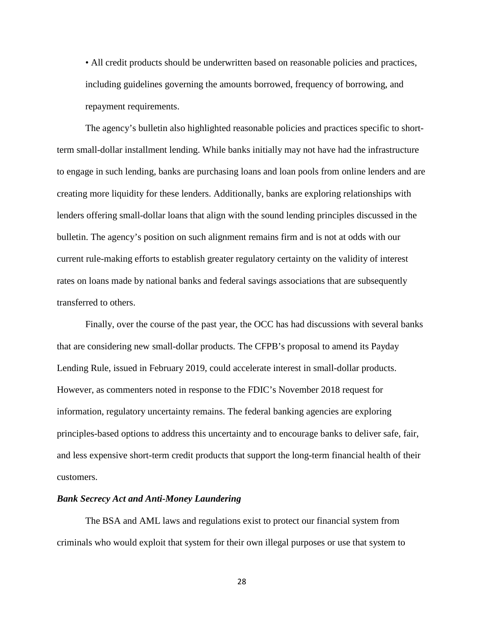• All credit products should be underwritten based on reasonable policies and practices, including guidelines governing the amounts borrowed, frequency of borrowing, and repayment requirements.

The agency's bulletin also highlighted reasonable policies and practices specific to shortterm small-dollar installment lending. While banks initially may not have had the infrastructure to engage in such lending, banks are purchasing loans and loan pools from online lenders and are creating more liquidity for these lenders. Additionally, banks are exploring relationships with lenders offering small-dollar loans that align with the sound lending principles discussed in the bulletin. The agency's position on such alignment remains firm and is not at odds with our current rule-making efforts to establish greater regulatory certainty on the validity of interest rates on loans made by national banks and federal savings associations that are subsequently transferred to others.

Finally, over the course of the past year, the OCC has had discussions with several banks that are considering new small-dollar products. The CFPB's proposal to amend its Payday Lending Rule, issued in February 2019, could accelerate interest in small-dollar products. However, as commenters noted in response to the FDIC's November 2018 request for information, regulatory uncertainty remains. The federal banking agencies are exploring principles-based options to address this uncertainty and to encourage banks to deliver safe, fair, and less expensive short-term credit products that support the long-term financial health of their customers.

### *Bank Secrecy Act and Anti-Money Laundering*

The BSA and AML laws and regulations exist to protect our financial system from criminals who would exploit that system for their own illegal purposes or use that system to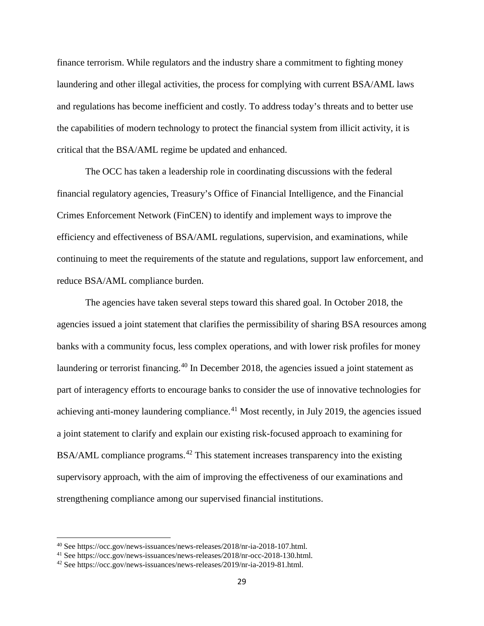finance terrorism. While regulators and the industry share a commitment to fighting money laundering and other illegal activities, the process for complying with current BSA/AML laws and regulations has become inefficient and costly. To address today's threats and to better use the capabilities of modern technology to protect the financial system from illicit activity, it is critical that the BSA/AML regime be updated and enhanced.

The OCC has taken a leadership role in coordinating discussions with the federal financial regulatory agencies, Treasury's Office of Financial Intelligence, and the Financial Crimes Enforcement Network (FinCEN) to identify and implement ways to improve the efficiency and effectiveness of BSA/AML regulations, supervision, and examinations, while continuing to meet the requirements of the statute and regulations, support law enforcement, and reduce BSA/AML compliance burden.

The agencies have taken several steps toward this shared goal. In October 2018, the agencies issued a joint statement that clarifies the permissibility of sharing BSA resources among banks with a community focus, less complex operations, and with lower risk profiles for money laundering or terrorist financing.<sup>[40](#page-28-0)</sup> In December 2018, the agencies issued a joint statement as part of interagency efforts to encourage banks to consider the use of innovative technologies for achieving anti-money laundering compliance.<sup>[41](#page-28-1)</sup> Most recently, in July 2019, the agencies issued a joint statement to clarify and explain our existing risk-focused approach to examining for BSA/AML compliance programs.<sup>[42](#page-28-2)</sup> This statement increases transparency into the existing supervisory approach, with the aim of improving the effectiveness of our examinations and strengthening compliance among our supervised financial institutions.

<span id="page-28-0"></span><sup>40</sup> See https://occ.gov/news-issuances/news-releases/2018/nr-ia-2018-107.html.

<span id="page-28-1"></span><sup>41</sup> See https://occ.gov/news-issuances/news-releases/2018/nr-occ-2018-130.html.

<span id="page-28-2"></span><sup>42</sup> See https://occ.gov/news-issuances/news-releases/2019/nr-ia-2019-81.html.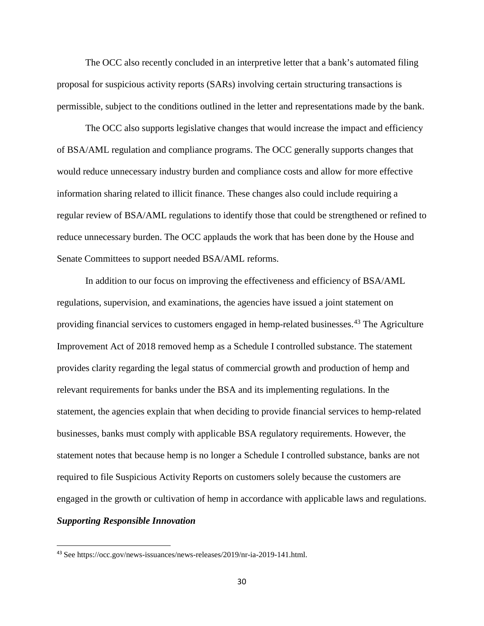The OCC also recently concluded in an interpretive letter that a bank's automated filing proposal for suspicious activity reports (SARs) involving certain structuring transactions is permissible, subject to the conditions outlined in the letter and representations made by the bank.

The OCC also supports legislative changes that would increase the impact and efficiency of BSA/AML regulation and compliance programs. The OCC generally supports changes that would reduce unnecessary industry burden and compliance costs and allow for more effective information sharing related to illicit finance. These changes also could include requiring a regular review of BSA/AML regulations to identify those that could be strengthened or refined to reduce unnecessary burden. The OCC applauds the work that has been done by the House and Senate Committees to support needed BSA/AML reforms.

In addition to our focus on improving the effectiveness and efficiency of BSA/AML regulations, supervision, and examinations, the agencies have issued a joint statement on providing financial services to customers engaged in hemp-related businesses.<sup>[43](#page-29-0)</sup> The Agriculture Improvement Act of 2018 removed hemp as a Schedule I controlled substance. The statement provides clarity regarding the legal status of commercial growth and production of hemp and relevant requirements for banks under the BSA and its implementing regulations. In the statement, the agencies explain that when deciding to provide financial services to hemp-related businesses, banks must comply with applicable BSA regulatory requirements. However, the statement notes that because hemp is no longer a Schedule I controlled substance, banks are not required to file Suspicious Activity Reports on customers solely because the customers are engaged in the growth or cultivation of hemp in accordance with applicable laws and regulations. *Supporting Responsible Innovation* 

<span id="page-29-0"></span> <sup>43</sup> See https://occ.gov/news-issuances/news-releases/2019/nr-ia-2019-141.html.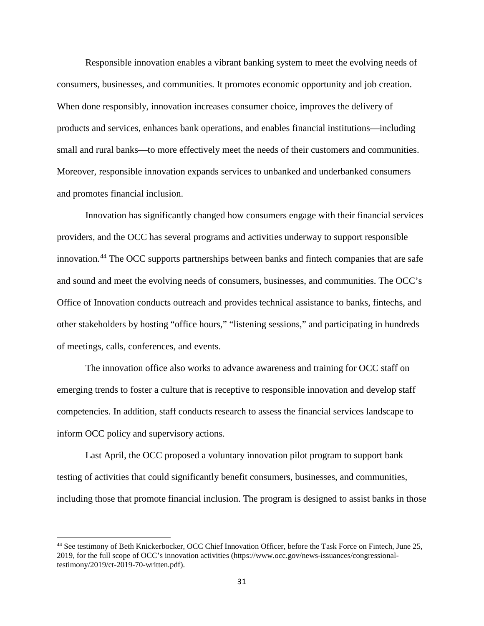Responsible innovation enables a vibrant banking system to meet the evolving needs of consumers, businesses, and communities. It promotes economic opportunity and job creation. When done responsibly, innovation increases consumer choice, improves the delivery of products and services, enhances bank operations, and enables financial institutions—including small and rural banks—to more effectively meet the needs of their customers and communities. Moreover, responsible innovation expands services to unbanked and underbanked consumers and promotes financial inclusion.

Innovation has significantly changed how consumers engage with their financial services providers, and the OCC has several programs and activities underway to support responsible innovation.<sup>[44](#page-30-0)</sup> The OCC supports partnerships between banks and fintech companies that are safe and sound and meet the evolving needs of consumers, businesses, and communities. The OCC's Office of Innovation conducts outreach and provides technical assistance to banks, fintechs, and other stakeholders by hosting "office hours," "listening sessions," and participating in hundreds of meetings, calls, conferences, and events.

The innovation office also works to advance awareness and training for OCC staff on emerging trends to foster a culture that is receptive to responsible innovation and develop staff competencies. In addition, staff conducts research to assess the financial services landscape to inform OCC policy and supervisory actions.

Last April, the OCC proposed a voluntary innovation pilot program to support bank testing of activities that could significantly benefit consumers, businesses, and communities, including those that promote financial inclusion. The program is designed to assist banks in those

<span id="page-30-0"></span><sup>44</sup> See testimony of Beth Knickerbocker, OCC Chief Innovation Officer, before the Task Force on Fintech, June 25, 2019, for the full scope of OCC's innovation activities (https://www.occ.gov/news-issuances/congressionaltestimony/2019/ct-2019-70-written.pdf).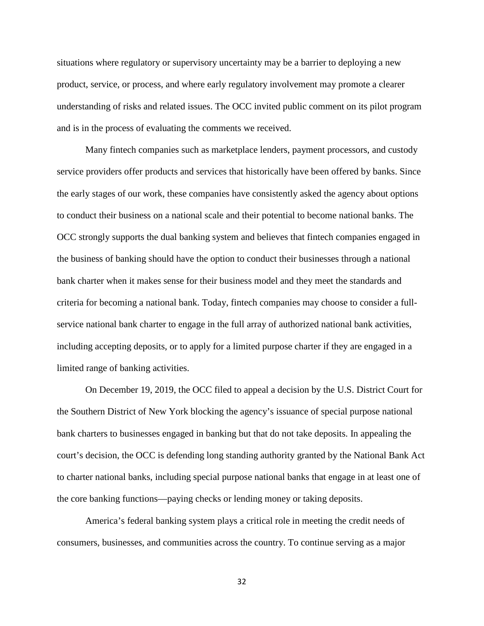situations where regulatory or supervisory uncertainty may be a barrier to deploying a new product, service, or process, and where early regulatory involvement may promote a clearer understanding of risks and related issues. The OCC invited public comment on its pilot program and is in the process of evaluating the comments we received.

Many fintech companies such as marketplace lenders, payment processors, and custody service providers offer products and services that historically have been offered by banks. Since the early stages of our work, these companies have consistently asked the agency about options to conduct their business on a national scale and their potential to become national banks. The OCC strongly supports the dual banking system and believes that fintech companies engaged in the business of banking should have the option to conduct their businesses through a national bank charter when it makes sense for their business model and they meet the standards and criteria for becoming a national bank. Today, fintech companies may choose to consider a fullservice national bank charter to engage in the full array of authorized national bank activities, including accepting deposits, or to apply for a limited purpose charter if they are engaged in a limited range of banking activities.

On December 19, 2019, the OCC filed to appeal a decision by the U.S. District Court for the Southern District of New York blocking the agency's issuance of special purpose national bank charters to businesses engaged in banking but that do not take deposits. In appealing the court's decision, the OCC is defending long standing authority granted by the National Bank Act to charter national banks, including special purpose national banks that engage in at least one of the core banking functions—paying checks or lending money or taking deposits.

America's federal banking system plays a critical role in meeting the credit needs of consumers, businesses, and communities across the country. To continue serving as a major